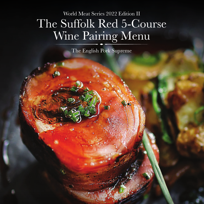### World Meat Series 2022 Edition II The Suffolk Red 5-Course Wine Pairing Menu

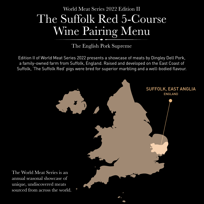



Edition II of World Meat Series 2022 presents a showcase of meats by Dingley Dell Pork, a family-owned farm from Suffolk, England. Raised and developed on the East Coast of Suffolk, 'The Suffolk Red' pigs were bred for superior marbling and a well-bodied flavour.





#### sourced from across the world.

3

# World Meat Series 2022 Edition II The Suffolk Red 5-Course Wine Pairing Menu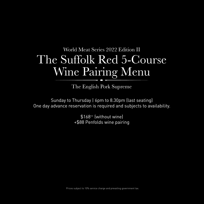Sunday to Thursday | 6pm to 8.30pm (last seating) One day advance reservation is required and subjects to availability.

> \$168++ (without wine) +\$88 Penfolds wine pairing

Prices subject to 10% service charge and prevailing government tax.

### World Meat Series 2022 Edition II The Suffolk Red 5-Course Wine Pairing Menu